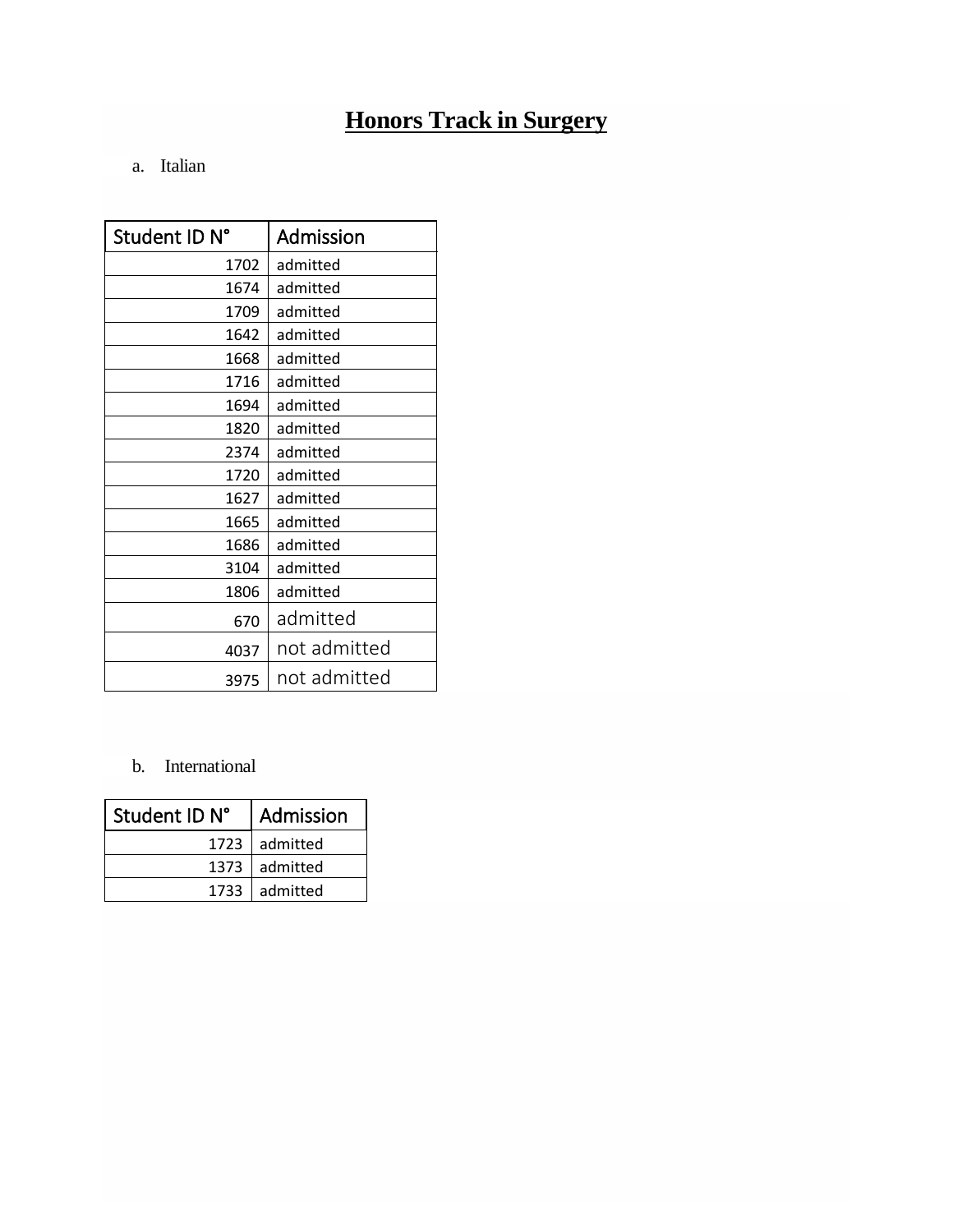# **[Honors Track in Surgery](https://www.hunimed.eu/honors-tracks/#surgery)**

# a. Italian

| Student ID N° | Admission    |
|---------------|--------------|
| 1702          | admitted     |
| 1674          | admitted     |
| 1709          | admitted     |
| 1642          | admitted     |
| 1668          | admitted     |
| 1716          | admitted     |
| 1694          | admitted     |
| 1820          | admitted     |
| 2374          | admitted     |
| 1720          | admitted     |
| 1627          | admitted     |
| 1665          | admitted     |
| 1686          | admitted     |
| 3104          | admitted     |
| 1806          | admitted     |
| 670           | admitted     |
| 4037          | not admitted |
| 3975          | not admitted |

# b. International

| Student ID N° | Admission       |
|---------------|-----------------|
|               | 1723   admitted |
|               | 1373 admitted   |
|               | 1733   admitted |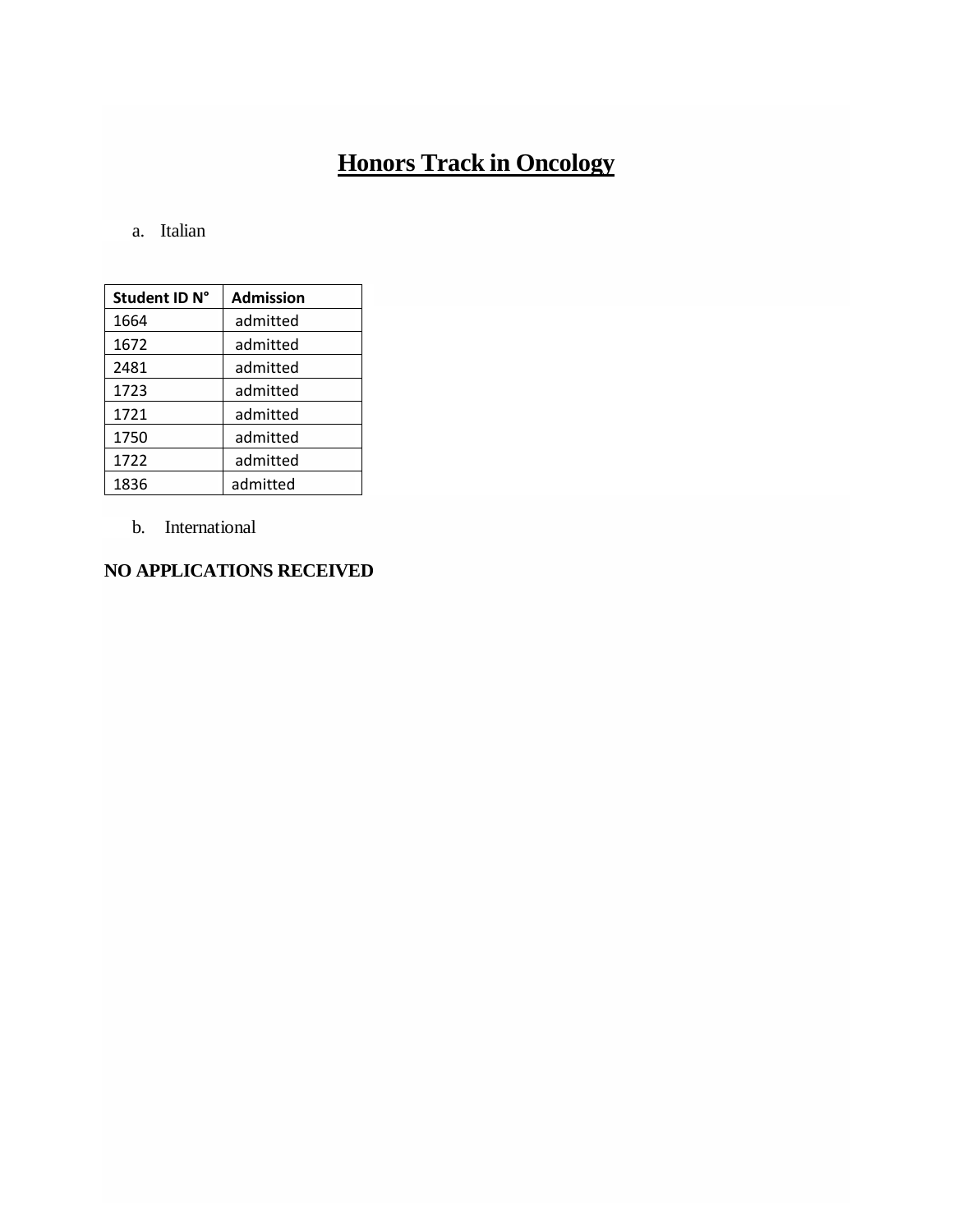# **[Honors Track in Oncology](https://www.hunimed.eu/honors-tracks/#oncology)**

### a. Italian

| Student ID N° | <b>Admission</b> |
|---------------|------------------|
| 1664          | admitted         |
| 1672          | admitted         |
| 2481          | admitted         |
| 1723          | admitted         |
| 1721          | admitted         |
| 1750          | admitted         |
| 1722          | admitted         |
| 1836          | admitted         |

b. International

### **NO APPLICATIONS RECEIVED**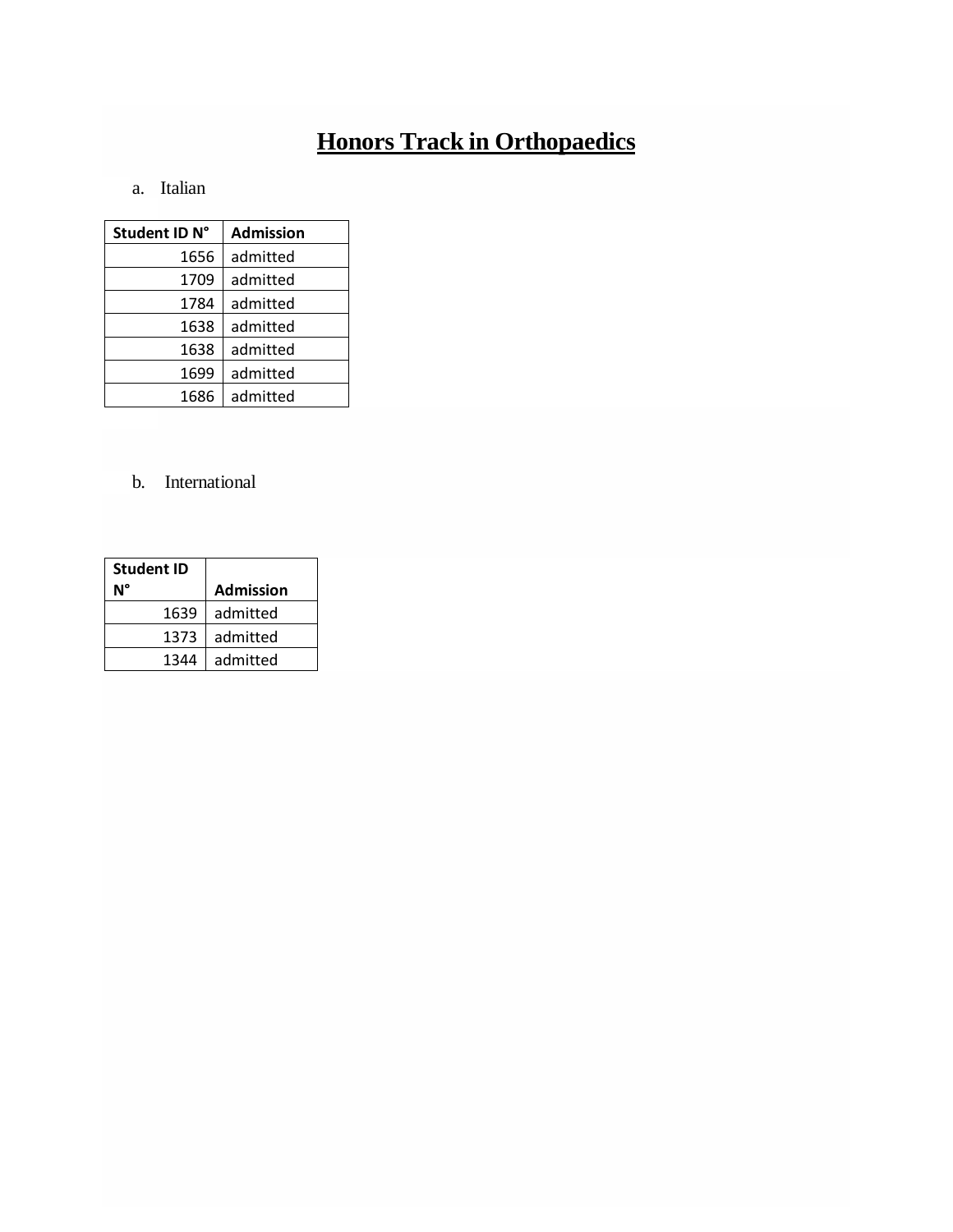# **[Honors Track in Orthopaedics](https://www.hunimed.eu/honors-tracks/#ortho)**

### a. Italian

| Student ID N° | <b>Admission</b> |
|---------------|------------------|
| 1656          | admitted         |
| 1709          | admitted         |
| 1784          | admitted         |
| 1638          | admitted         |
| 1638          | admitted         |
| 1699          | admitted         |
| 1686          | admitted         |

## b. International

| <b>Student ID</b> |                  |
|-------------------|------------------|
|                   | <b>Admission</b> |
| 1639              | admitted         |
| 1373              | admitted         |
| 1344              | admitted         |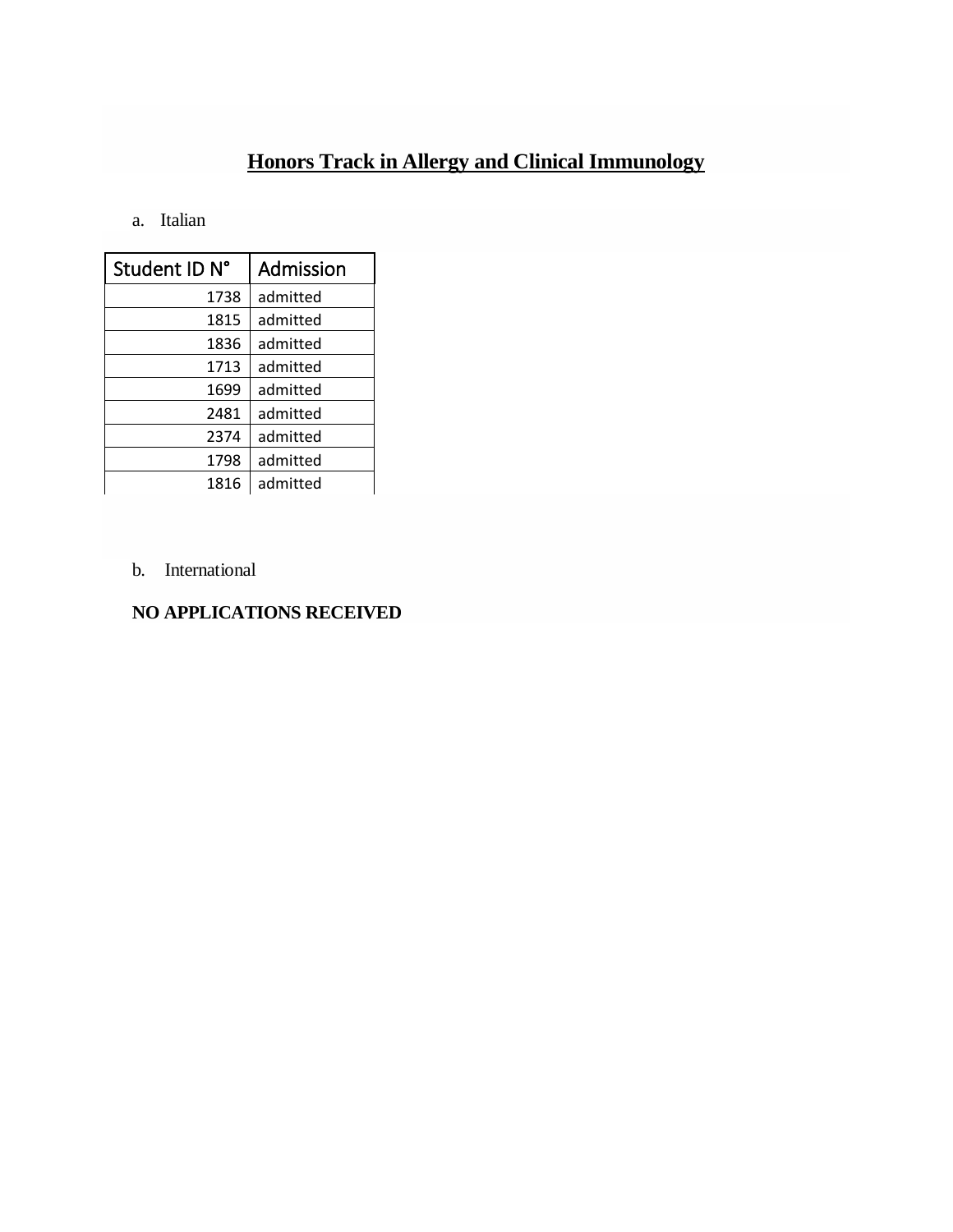# **[Honors Track in Allergy and Clinical Immunology](https://www.hunimed.eu/honors-tracks/#immunology)**

#### a. Italian

| Student ID N° | Admission |
|---------------|-----------|
| 1738          | admitted  |
| 1815          | admitted  |
| 1836          | admitted  |
| 1713          | admitted  |
| 1699          | admitted  |
| 2481          | admitted  |
| 2374          | admitted  |
| 1798          | admitted  |
| 1816          | admitted  |

b. International

### **NO APPLICATIONS RECEIVED**